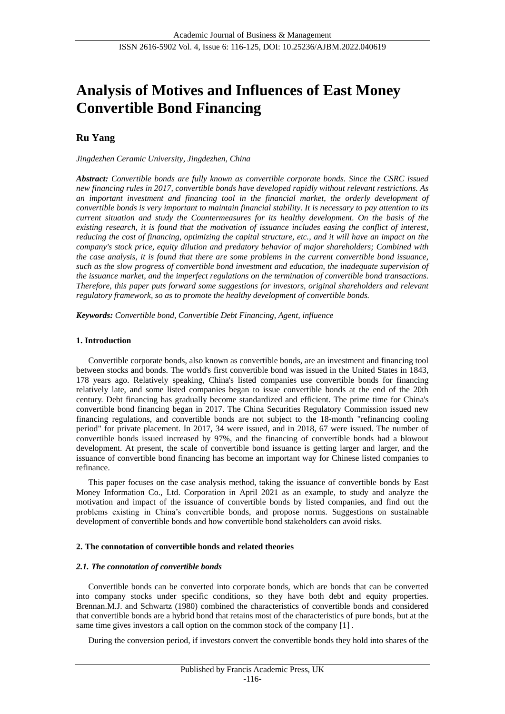# **Analysis of Motives and Influences of East Money Convertible Bond Financing**

# **Ru Yang**

*Jingdezhen Ceramic University, Jingdezhen, China*

*Abstract: Convertible bonds are fully known as convertible corporate bonds. Since the CSRC issued new financing rules in 2017, convertible bonds have developed rapidly without relevant restrictions. As an important investment and financing tool in the financial market, the orderly development of convertible bonds is very important to maintain financial stability. It is necessary to pay attention to its current situation and study the Countermeasures for its healthy development. On the basis of the existing research, it is found that the motivation of issuance includes easing the conflict of interest, reducing the cost of financing, optimizing the capital structure, etc., and it will have an impact on the company's stock price, equity dilution and predatory behavior of major shareholders; Combined with the case analysis, it is found that there are some problems in the current convertible bond issuance, such as the slow progress of convertible bond investment and education, the inadequate supervision of the issuance market, and the imperfect regulations on the termination of convertible bond transactions. Therefore, this paper puts forward some suggestions for investors, original shareholders and relevant regulatory framework, so as to promote the healthy development of convertible bonds.*

*Keywords: Convertible bond, Convertible Debt Financing, Agent, influence*

# **1. Introduction**

Convertible corporate bonds, also known as convertible bonds, are an investment and financing tool between stocks and bonds. The world's first convertible bond was issued in the United States in 1843, 178 years ago. Relatively speaking, China's listed companies use convertible bonds for financing relatively late, and some listed companies began to issue convertible bonds at the end of the 20th century. Debt financing has gradually become standardized and efficient. The prime time for China's convertible bond financing began in 2017. The China Securities Regulatory Commission issued new financing regulations, and convertible bonds are not subject to the 18-month "refinancing cooling period" for private placement. In 2017, 34 were issued, and in 2018, 67 were issued. The number of convertible bonds issued increased by 97%, and the financing of convertible bonds had a blowout development. At present, the scale of convertible bond issuance is getting larger and larger, and the issuance of convertible bond financing has become an important way for Chinese listed companies to refinance.

This paper focuses on the case analysis method, taking the issuance of convertible bonds by East Money Information Co., Ltd. Corporation in April 2021 as an example, to study and analyze the motivation and impact of the issuance of convertible bonds by listed companies, and find out the problems existing in China's convertible bonds, and propose norms. Suggestions on sustainable development of convertible bonds and how convertible bond stakeholders can avoid risks.

# **2. The connotation of convertible bonds and related theories**

# *2.1. The connotation of convertible bonds*

Convertible bonds can be converted into corporate bonds, which are bonds that can be converted into company stocks under specific conditions, so they have both debt and equity properties. Brennan.M.J. and Schwartz (1980) combined the characteristics of convertible bonds and considered that convertible bonds are a hybrid bond that retains most of the characteristics of pure bonds, but at the same time gives investors a call option on the common stock of the company [1] .

During the conversion period, if investors convert the convertible bonds they hold into shares of the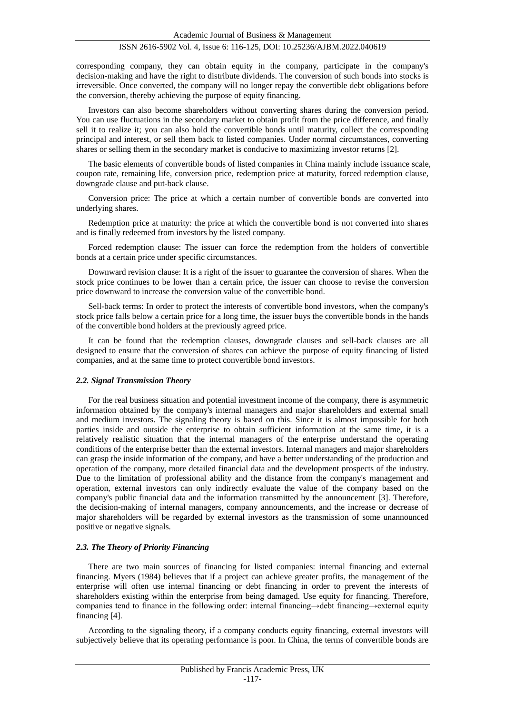corresponding company, they can obtain equity in the company, participate in the company's decision-making and have the right to distribute dividends. The conversion of such bonds into stocks is irreversible. Once converted, the company will no longer repay the convertible debt obligations before the conversion, thereby achieving the purpose of equity financing.

Investors can also become shareholders without converting shares during the conversion period. You can use fluctuations in the secondary market to obtain profit from the price difference, and finally sell it to realize it; you can also hold the convertible bonds until maturity, collect the corresponding principal and interest, or sell them back to listed companies. Under normal circumstances, converting shares or selling them in the secondary market is conducive to maximizing investor returns [2].

The basic elements of convertible bonds of listed companies in China mainly include issuance scale, coupon rate, remaining life, conversion price, redemption price at maturity, forced redemption clause, downgrade clause and put-back clause.

Conversion price: The price at which a certain number of convertible bonds are converted into underlying shares.

Redemption price at maturity: the price at which the convertible bond is not converted into shares and is finally redeemed from investors by the listed company.

Forced redemption clause: The issuer can force the redemption from the holders of convertible bonds at a certain price under specific circumstances.

Downward revision clause: It is a right of the issuer to guarantee the conversion of shares. When the stock price continues to be lower than a certain price, the issuer can choose to revise the conversion price downward to increase the conversion value of the convertible bond.

Sell-back terms: In order to protect the interests of convertible bond investors, when the company's stock price falls below a certain price for a long time, the issuer buys the convertible bonds in the hands of the convertible bond holders at the previously agreed price.

It can be found that the redemption clauses, downgrade clauses and sell-back clauses are all designed to ensure that the conversion of shares can achieve the purpose of equity financing of listed companies, and at the same time to protect convertible bond investors.

#### *2.2. Signal Transmission Theory*

For the real business situation and potential investment income of the company, there is asymmetric information obtained by the company's internal managers and major shareholders and external small and medium investors. The signaling theory is based on this. Since it is almost impossible for both parties inside and outside the enterprise to obtain sufficient information at the same time, it is a relatively realistic situation that the internal managers of the enterprise understand the operating conditions of the enterprise better than the external investors. Internal managers and major shareholders can grasp the inside information of the company, and have a better understanding of the production and operation of the company, more detailed financial data and the development prospects of the industry. Due to the limitation of professional ability and the distance from the company's management and operation, external investors can only indirectly evaluate the value of the company based on the company's public financial data and the information transmitted by the announcement [3]. Therefore, the decision-making of internal managers, company announcements, and the increase or decrease of major shareholders will be regarded by external investors as the transmission of some unannounced positive or negative signals.

#### *2.3. The Theory of Priority Financing*

There are two main sources of financing for listed companies: internal financing and external financing. Myers (1984) believes that if a project can achieve greater profits, the management of the enterprise will often use internal financing or debt financing in order to prevent the interests of shareholders existing within the enterprise from being damaged. Use equity for financing. Therefore, companies tend to finance in the following order: internal financing→debt financing→external equity financing [4].

According to the signaling theory, if a company conducts equity financing, external investors will subjectively believe that its operating performance is poor. In China, the terms of convertible bonds are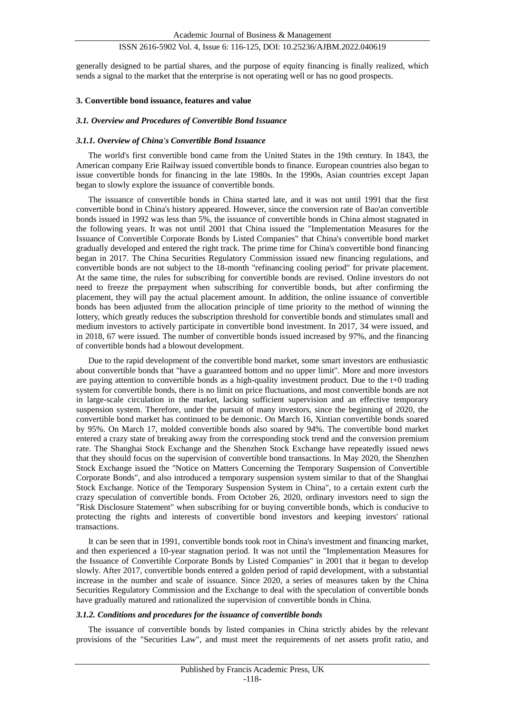generally designed to be partial shares, and the purpose of equity financing is finally realized, which sends a signal to the market that the enterprise is not operating well or has no good prospects.

# **3. Convertible bond issuance, features and value**

#### *3.1. Overview and Procedures of Convertible Bond Issuance*

#### *3.1.1. Overview of China's Convertible Bond Issuance*

The world's first convertible bond came from the United States in the 19th century. In 1843, the American company Erie Railway issued convertible bonds to finance. European countries also began to issue convertible bonds for financing in the late 1980s. In the 1990s, Asian countries except Japan began to slowly explore the issuance of convertible bonds.

The issuance of convertible bonds in China started late, and it was not until 1991 that the first convertible bond in China's history appeared. However, since the conversion rate of Bao'an convertible bonds issued in 1992 was less than 5%, the issuance of convertible bonds in China almost stagnated in the following years. It was not until 2001 that China issued the "Implementation Measures for the Issuance of Convertible Corporate Bonds by Listed Companies" that China's convertible bond market gradually developed and entered the right track. The prime time for China's convertible bond financing began in 2017. The China Securities Regulatory Commission issued new financing regulations, and convertible bonds are not subject to the 18-month "refinancing cooling period" for private placement. At the same time, the rules for subscribing for convertible bonds are revised. Online investors do not need to freeze the prepayment when subscribing for convertible bonds, but after confirming the placement, they will pay the actual placement amount. In addition, the online issuance of convertible bonds has been adjusted from the allocation principle of time priority to the method of winning the lottery, which greatly reduces the subscription threshold for convertible bonds and stimulates small and medium investors to actively participate in convertible bond investment. In 2017, 34 were issued, and in 2018, 67 were issued. The number of convertible bonds issued increased by 97%, and the financing of convertible bonds had a blowout development.

Due to the rapid development of the convertible bond market, some smart investors are enthusiastic about convertible bonds that "have a guaranteed bottom and no upper limit". More and more investors are paying attention to convertible bonds as a high-quality investment product. Due to the  $t+0$  trading system for convertible bonds, there is no limit on price fluctuations, and most convertible bonds are not in large-scale circulation in the market, lacking sufficient supervision and an effective temporary suspension system. Therefore, under the pursuit of many investors, since the beginning of 2020, the convertible bond market has continued to be demonic. On March 16, Xintian convertible bonds soared by 95%. On March 17, molded convertible bonds also soared by 94%. The convertible bond market entered a crazy state of breaking away from the corresponding stock trend and the conversion premium rate. The Shanghai Stock Exchange and the Shenzhen Stock Exchange have repeatedly issued news that they should focus on the supervision of convertible bond transactions. In May 2020, the Shenzhen Stock Exchange issued the "Notice on Matters Concerning the Temporary Suspension of Convertible Corporate Bonds", and also introduced a temporary suspension system similar to that of the Shanghai Stock Exchange. Notice of the Temporary Suspension System in China", to a certain extent curb the crazy speculation of convertible bonds. From October 26, 2020, ordinary investors need to sign the "Risk Disclosure Statement" when subscribing for or buying convertible bonds, which is conducive to protecting the rights and interests of convertible bond investors and keeping investors' rational transactions.

It can be seen that in 1991, convertible bonds took root in China's investment and financing market, and then experienced a 10-year stagnation period. It was not until the "Implementation Measures for the Issuance of Convertible Corporate Bonds by Listed Companies" in 2001 that it began to develop slowly. After 2017, convertible bonds entered a golden period of rapid development, with a substantial increase in the number and scale of issuance. Since 2020, a series of measures taken by the China Securities Regulatory Commission and the Exchange to deal with the speculation of convertible bonds have gradually matured and rationalized the supervision of convertible bonds in China.

#### *3.1.2. Conditions and procedures for the issuance of convertible bonds*

The issuance of convertible bonds by listed companies in China strictly abides by the relevant provisions of the "Securities Law", and must meet the requirements of net assets profit ratio, and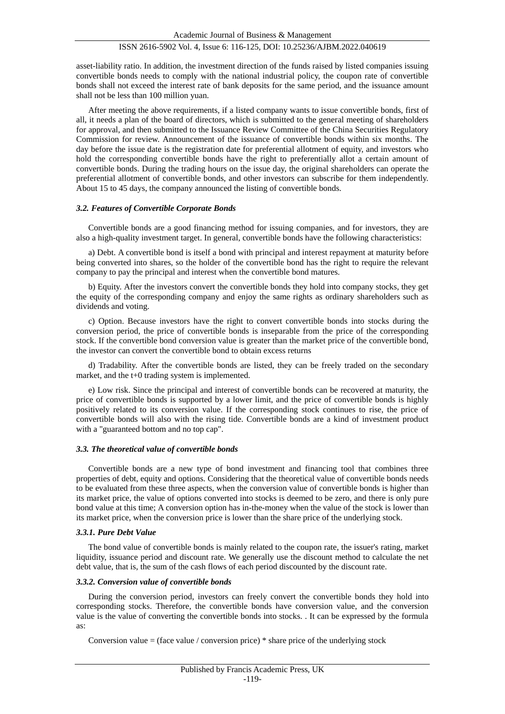asset-liability ratio. In addition, the investment direction of the funds raised by listed companies issuing convertible bonds needs to comply with the national industrial policy, the coupon rate of convertible bonds shall not exceed the interest rate of bank deposits for the same period, and the issuance amount shall not be less than 100 million yuan.

After meeting the above requirements, if a listed company wants to issue convertible bonds, first of all, it needs a plan of the board of directors, which is submitted to the general meeting of shareholders for approval, and then submitted to the Issuance Review Committee of the China Securities Regulatory Commission for review. Announcement of the issuance of convertible bonds within six months. The day before the issue date is the registration date for preferential allotment of equity, and investors who hold the corresponding convertible bonds have the right to preferentially allot a certain amount of convertible bonds. During the trading hours on the issue day, the original shareholders can operate the preferential allotment of convertible bonds, and other investors can subscribe for them independently. About 15 to 45 days, the company announced the listing of convertible bonds.

#### *3.2. Features of Convertible Corporate Bonds*

Convertible bonds are a good financing method for issuing companies, and for investors, they are also a high-quality investment target. In general, convertible bonds have the following characteristics:

a) Debt. A convertible bond is itself a bond with principal and interest repayment at maturity before being converted into shares, so the holder of the convertible bond has the right to require the relevant company to pay the principal and interest when the convertible bond matures.

b) Equity. After the investors convert the convertible bonds they hold into company stocks, they get the equity of the corresponding company and enjoy the same rights as ordinary shareholders such as dividends and voting.

c) Option. Because investors have the right to convert convertible bonds into stocks during the conversion period, the price of convertible bonds is inseparable from the price of the corresponding stock. If the convertible bond conversion value is greater than the market price of the convertible bond, the investor can convert the convertible bond to obtain excess returns

d) Tradability. After the convertible bonds are listed, they can be freely traded on the secondary market, and the t+0 trading system is implemented.

e) Low risk. Since the principal and interest of convertible bonds can be recovered at maturity, the price of convertible bonds is supported by a lower limit, and the price of convertible bonds is highly positively related to its conversion value. If the corresponding stock continues to rise, the price of convertible bonds will also with the rising tide. Convertible bonds are a kind of investment product with a "guaranteed bottom and no top cap".

#### *3.3. The theoretical value of convertible bonds*

Convertible bonds are a new type of bond investment and financing tool that combines three properties of debt, equity and options. Considering that the theoretical value of convertible bonds needs to be evaluated from these three aspects, when the conversion value of convertible bonds is higher than its market price, the value of options converted into stocks is deemed to be zero, and there is only pure bond value at this time; A conversion option has in-the-money when the value of the stock is lower than its market price, when the conversion price is lower than the share price of the underlying stock.

#### *3.3.1. Pure Debt Value*

The bond value of convertible bonds is mainly related to the coupon rate, the issuer's rating, market liquidity, issuance period and discount rate. We generally use the discount method to calculate the net debt value, that is, the sum of the cash flows of each period discounted by the discount rate.

# *3.3.2. Conversion value of convertible bonds*

During the conversion period, investors can freely convert the convertible bonds they hold into corresponding stocks. Therefore, the convertible bonds have conversion value, and the conversion value is the value of converting the convertible bonds into stocks. . It can be expressed by the formula as:

Conversion value = (face value / conversion price)  $*$  share price of the underlying stock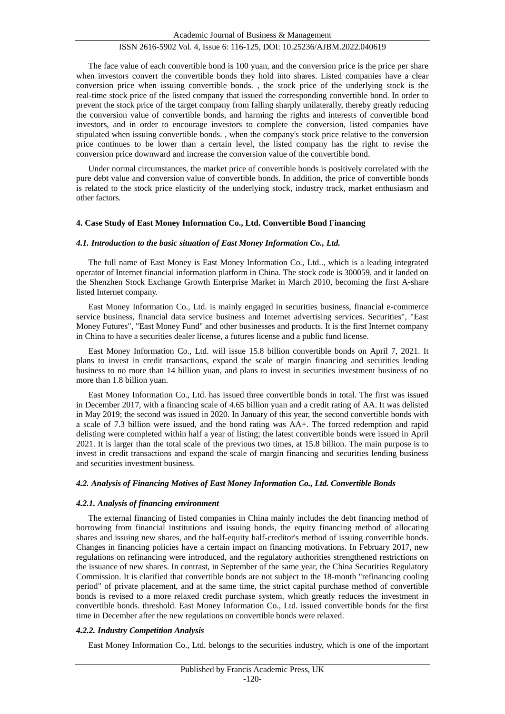The face value of each convertible bond is 100 yuan, and the conversion price is the price per share when investors convert the convertible bonds they hold into shares. Listed companies have a clear conversion price when issuing convertible bonds. , the stock price of the underlying stock is the real-time stock price of the listed company that issued the corresponding convertible bond. In order to prevent the stock price of the target company from falling sharply unilaterally, thereby greatly reducing the conversion value of convertible bonds, and harming the rights and interests of convertible bond investors, and in order to encourage investors to complete the conversion, listed companies have stipulated when issuing convertible bonds. , when the company's stock price relative to the conversion price continues to be lower than a certain level, the listed company has the right to revise the conversion price downward and increase the conversion value of the convertible bond.

Under normal circumstances, the market price of convertible bonds is positively correlated with the pure debt value and conversion value of convertible bonds. In addition, the price of convertible bonds is related to the stock price elasticity of the underlying stock, industry track, market enthusiasm and other factors.

#### **4. Case Study of East Money Information Co., Ltd. Convertible Bond Financing**

#### *4.1. Introduction to the basic situation of East Money Information Co., Ltd.*

The full name of East Money is East Money Information Co., Ltd.., which is a leading integrated operator of Internet financial information platform in China. The stock code is 300059, and it landed on the Shenzhen Stock Exchange Growth Enterprise Market in March 2010, becoming the first A-share listed Internet company.

East Money Information Co., Ltd. is mainly engaged in securities business, financial e-commerce service business, financial data service business and Internet advertising services. Securities", "East Money Futures", "East Money Fund" and other businesses and products. It is the first Internet company in China to have a securities dealer license, a futures license and a public fund license.

East Money Information Co., Ltd. will issue 15.8 billion convertible bonds on April 7, 2021. It plans to invest in credit transactions, expand the scale of margin financing and securities lending business to no more than 14 billion yuan, and plans to invest in securities investment business of no more than 1.8 billion yuan.

East Money Information Co., Ltd. has issued three convertible bonds in total. The first was issued in December 2017, with a financing scale of 4.65 billion yuan and a credit rating of AA. It was delisted in May 2019; the second was issued in 2020. In January of this year, the second convertible bonds with a scale of 7.3 billion were issued, and the bond rating was AA+. The forced redemption and rapid delisting were completed within half a year of listing; the latest convertible bonds were issued in April 2021. It is larger than the total scale of the previous two times, at 15.8 billion. The main purpose is to invest in credit transactions and expand the scale of margin financing and securities lending business and securities investment business.

#### *4.2. Analysis of Financing Motives of East Money Information Co., Ltd. Convertible Bonds*

#### *4.2.1. Analysis of financing environment*

The external financing of listed companies in China mainly includes the debt financing method of borrowing from financial institutions and issuing bonds, the equity financing method of allocating shares and issuing new shares, and the half-equity half-creditor's method of issuing convertible bonds. Changes in financing policies have a certain impact on financing motivations. In February 2017, new regulations on refinancing were introduced, and the regulatory authorities strengthened restrictions on the issuance of new shares. In contrast, in September of the same year, the China Securities Regulatory Commission. It is clarified that convertible bonds are not subject to the 18-month "refinancing cooling period" of private placement, and at the same time, the strict capital purchase method of convertible bonds is revised to a more relaxed credit purchase system, which greatly reduces the investment in convertible bonds. threshold. East Money Information Co., Ltd. issued convertible bonds for the first time in December after the new regulations on convertible bonds were relaxed.

# *4.2.2. Industry Competition Analysis*

East Money Information Co., Ltd. belongs to the securities industry, which is one of the important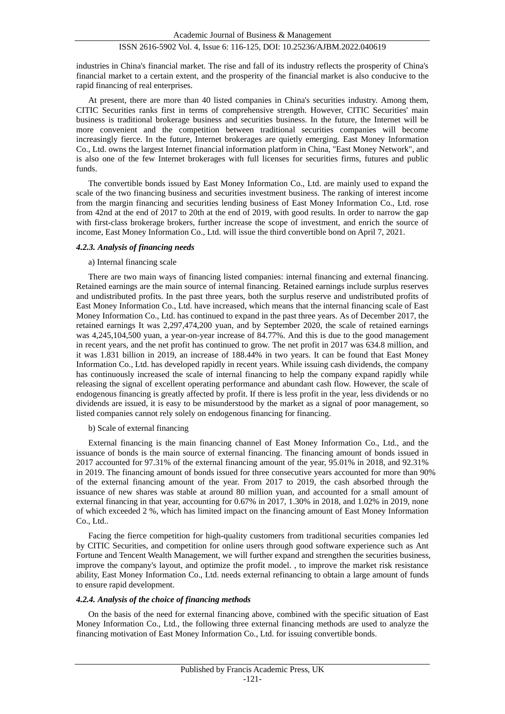industries in China's financial market. The rise and fall of its industry reflects the prosperity of China's financial market to a certain extent, and the prosperity of the financial market is also conducive to the rapid financing of real enterprises.

At present, there are more than 40 listed companies in China's securities industry. Among them, CITIC Securities ranks first in terms of comprehensive strength. However, CITIC Securities' main business is traditional brokerage business and securities business. In the future, the Internet will be more convenient and the competition between traditional securities companies will become increasingly fierce. In the future, Internet brokerages are quietly emerging. East Money Information Co., Ltd. owns the largest Internet financial information platform in China, "East Money Network", and is also one of the few Internet brokerages with full licenses for securities firms, futures and public funds.

The convertible bonds issued by East Money Information Co., Ltd. are mainly used to expand the scale of the two financing business and securities investment business. The ranking of interest income from the margin financing and securities lending business of East Money Information Co., Ltd. rose from 42nd at the end of 2017 to 20th at the end of 2019, with good results. In order to narrow the gap with first-class brokerage brokers, further increase the scope of investment, and enrich the source of income, East Money Information Co., Ltd. will issue the third convertible bond on April 7, 2021.

#### *4.2.3. Analysis of financing needs*

#### a) Internal financing scale

There are two main ways of financing listed companies: internal financing and external financing. Retained earnings are the main source of internal financing. Retained earnings include surplus reserves and undistributed profits. In the past three years, both the surplus reserve and undistributed profits of East Money Information Co., Ltd. have increased, which means that the internal financing scale of East Money Information Co., Ltd. has continued to expand in the past three years. As of December 2017, the retained earnings It was 2,297,474,200 yuan, and by September 2020, the scale of retained earnings was 4,245,104,500 yuan, a year-on-year increase of 84.77%. And this is due to the good management in recent years, and the net profit has continued to grow. The net profit in 2017 was 634.8 million, and it was 1.831 billion in 2019, an increase of 188.44% in two years. It can be found that East Money Information Co., Ltd. has developed rapidly in recent years. While issuing cash dividends, the company has continuously increased the scale of internal financing to help the company expand rapidly while releasing the signal of excellent operating performance and abundant cash flow. However, the scale of endogenous financing is greatly affected by profit. If there is less profit in the year, less dividends or no dividends are issued, it is easy to be misunderstood by the market as a signal of poor management, so listed companies cannot rely solely on endogenous financing for financing.

# b) Scale of external financing

External financing is the main financing channel of East Money Information Co., Ltd., and the issuance of bonds is the main source of external financing. The financing amount of bonds issued in 2017 accounted for 97.31% of the external financing amount of the year, 95.01% in 2018, and 92.31% in 2019. The financing amount of bonds issued for three consecutive years accounted for more than 90% of the external financing amount of the year. From 2017 to 2019, the cash absorbed through the issuance of new shares was stable at around 80 million yuan, and accounted for a small amount of external financing in that year, accounting for 0.67% in 2017, 1.30% in 2018, and 1.02% in 2019, none of which exceeded 2 %, which has limited impact on the financing amount of East Money Information Co., Ltd..

Facing the fierce competition for high-quality customers from traditional securities companies led by CITIC Securities, and competition for online users through good software experience such as Ant Fortune and Tencent Wealth Management, we will further expand and strengthen the securities business, improve the company's layout, and optimize the profit model. , to improve the market risk resistance ability, East Money Information Co., Ltd. needs external refinancing to obtain a large amount of funds to ensure rapid development.

# *4.2.4. Analysis of the choice of financing methods*

On the basis of the need for external financing above, combined with the specific situation of East Money Information Co., Ltd., the following three external financing methods are used to analyze the financing motivation of East Money Information Co., Ltd. for issuing convertible bonds.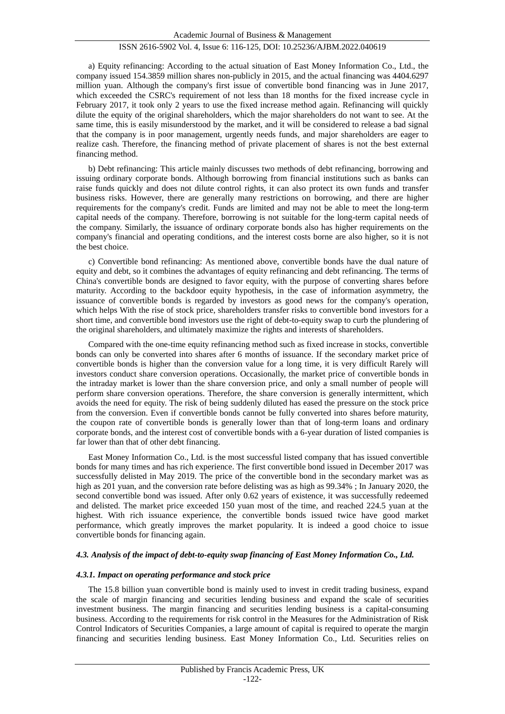a) Equity refinancing: According to the actual situation of East Money Information Co., Ltd., the company issued 154.3859 million shares non-publicly in 2015, and the actual financing was 4404.6297 million yuan. Although the company's first issue of convertible bond financing was in June 2017, which exceeded the CSRC's requirement of not less than 18 months for the fixed increase cycle in February 2017, it took only 2 years to use the fixed increase method again. Refinancing will quickly dilute the equity of the original shareholders, which the major shareholders do not want to see. At the same time, this is easily misunderstood by the market, and it will be considered to release a bad signal that the company is in poor management, urgently needs funds, and major shareholders are eager to realize cash. Therefore, the financing method of private placement of shares is not the best external financing method.

b) Debt refinancing: This article mainly discusses two methods of debt refinancing, borrowing and issuing ordinary corporate bonds. Although borrowing from financial institutions such as banks can raise funds quickly and does not dilute control rights, it can also protect its own funds and transfer business risks. However, there are generally many restrictions on borrowing, and there are higher requirements for the company's credit. Funds are limited and may not be able to meet the long-term capital needs of the company. Therefore, borrowing is not suitable for the long-term capital needs of the company. Similarly, the issuance of ordinary corporate bonds also has higher requirements on the company's financial and operating conditions, and the interest costs borne are also higher, so it is not the best choice.

c) Convertible bond refinancing: As mentioned above, convertible bonds have the dual nature of equity and debt, so it combines the advantages of equity refinancing and debt refinancing. The terms of China's convertible bonds are designed to favor equity, with the purpose of converting shares before maturity. According to the backdoor equity hypothesis, in the case of information asymmetry, the issuance of convertible bonds is regarded by investors as good news for the company's operation, which helps With the rise of stock price, shareholders transfer risks to convertible bond investors for a short time, and convertible bond investors use the right of debt-to-equity swap to curb the plundering of the original shareholders, and ultimately maximize the rights and interests of shareholders.

Compared with the one-time equity refinancing method such as fixed increase in stocks, convertible bonds can only be converted into shares after 6 months of issuance. If the secondary market price of convertible bonds is higher than the conversion value for a long time, it is very difficult Rarely will investors conduct share conversion operations. Occasionally, the market price of convertible bonds in the intraday market is lower than the share conversion price, and only a small number of people will perform share conversion operations. Therefore, the share conversion is generally intermittent, which avoids the need for equity. The risk of being suddenly diluted has eased the pressure on the stock price from the conversion. Even if convertible bonds cannot be fully converted into shares before maturity, the coupon rate of convertible bonds is generally lower than that of long-term loans and ordinary corporate bonds, and the interest cost of convertible bonds with a 6-year duration of listed companies is far lower than that of other debt financing.

East Money Information Co., Ltd. is the most successful listed company that has issued convertible bonds for many times and has rich experience. The first convertible bond issued in December 2017 was successfully delisted in May 2019. The price of the convertible bond in the secondary market was as high as 201 yuan, and the conversion rate before delisting was as high as 99.34% ; In January 2020, the second convertible bond was issued. After only 0.62 years of existence, it was successfully redeemed and delisted. The market price exceeded 150 yuan most of the time, and reached 224.5 yuan at the highest. With rich issuance experience, the convertible bonds issued twice have good market performance, which greatly improves the market popularity. It is indeed a good choice to issue convertible bonds for financing again.

# *4.3. Analysis of the impact of debt-to-equity swap financing of East Money Information Co., Ltd.*

#### *4.3.1. Impact on operating performance and stock price*

The 15.8 billion yuan convertible bond is mainly used to invest in credit trading business, expand the scale of margin financing and securities lending business and expand the scale of securities investment business. The margin financing and securities lending business is a capital-consuming business. According to the requirements for risk control in the Measures for the Administration of Risk Control Indicators of Securities Companies, a large amount of capital is required to operate the margin financing and securities lending business. East Money Information Co., Ltd. Securities relies on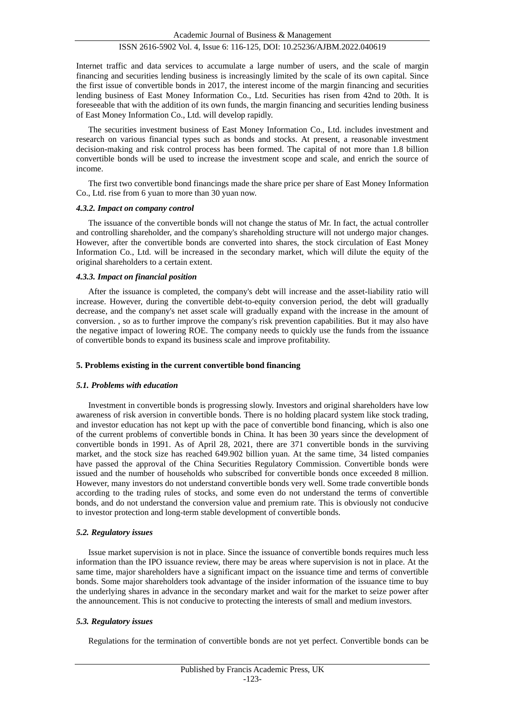Internet traffic and data services to accumulate a large number of users, and the scale of margin financing and securities lending business is increasingly limited by the scale of its own capital. Since the first issue of convertible bonds in 2017, the interest income of the margin financing and securities lending business of East Money Information Co., Ltd. Securities has risen from 42nd to 20th. It is foreseeable that with the addition of its own funds, the margin financing and securities lending business of East Money Information Co., Ltd. will develop rapidly.

The securities investment business of East Money Information Co., Ltd. includes investment and research on various financial types such as bonds and stocks. At present, a reasonable investment decision-making and risk control process has been formed. The capital of not more than 1.8 billion convertible bonds will be used to increase the investment scope and scale, and enrich the source of income.

The first two convertible bond financings made the share price per share of East Money Information Co., Ltd. rise from 6 yuan to more than 30 yuan now.

#### *4.3.2. Impact on company control*

The issuance of the convertible bonds will not change the status of Mr. In fact, the actual controller and controlling shareholder, and the company's shareholding structure will not undergo major changes. However, after the convertible bonds are converted into shares, the stock circulation of East Money Information Co., Ltd. will be increased in the secondary market, which will dilute the equity of the original shareholders to a certain extent.

#### *4.3.3. Impact on financial position*

After the issuance is completed, the company's debt will increase and the asset-liability ratio will increase. However, during the convertible debt-to-equity conversion period, the debt will gradually decrease, and the company's net asset scale will gradually expand with the increase in the amount of conversion. , so as to further improve the company's risk prevention capabilities. But it may also have the negative impact of lowering ROE. The company needs to quickly use the funds from the issuance of convertible bonds to expand its business scale and improve profitability.

#### **5. Problems existing in the current convertible bond financing**

#### *5.1. Problems with education*

Investment in convertible bonds is progressing slowly. Investors and original shareholders have low awareness of risk aversion in convertible bonds. There is no holding placard system like stock trading, and investor education has not kept up with the pace of convertible bond financing, which is also one of the current problems of convertible bonds in China. It has been 30 years since the development of convertible bonds in 1991. As of April 28, 2021, there are 371 convertible bonds in the surviving market, and the stock size has reached 649.902 billion yuan. At the same time, 34 listed companies have passed the approval of the China Securities Regulatory Commission. Convertible bonds were issued and the number of households who subscribed for convertible bonds once exceeded 8 million. However, many investors do not understand convertible bonds very well. Some trade convertible bonds according to the trading rules of stocks, and some even do not understand the terms of convertible bonds, and do not understand the conversion value and premium rate. This is obviously not conducive to investor protection and long-term stable development of convertible bonds.

#### *5.2. Regulatory issues*

Issue market supervision is not in place. Since the issuance of convertible bonds requires much less information than the IPO issuance review, there may be areas where supervision is not in place. At the same time, major shareholders have a significant impact on the issuance time and terms of convertible bonds. Some major shareholders took advantage of the insider information of the issuance time to buy the underlying shares in advance in the secondary market and wait for the market to seize power after the announcement. This is not conducive to protecting the interests of small and medium investors.

#### *5.3. Regulatory issues*

Regulations for the termination of convertible bonds are not yet perfect. Convertible bonds can be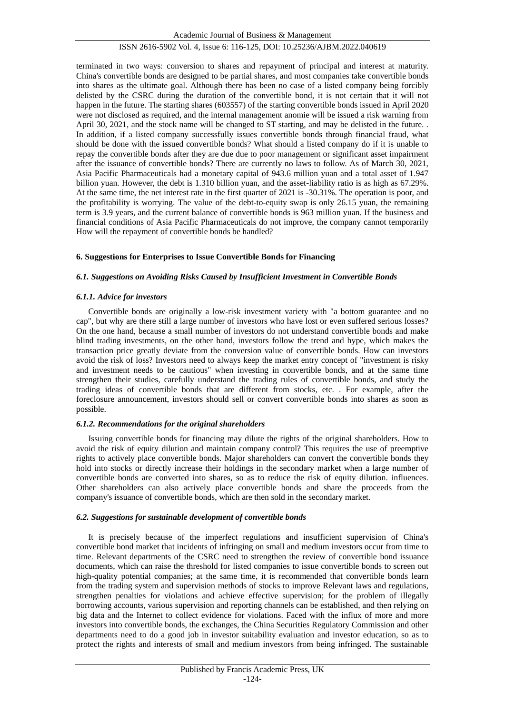Academic Journal of Business & Management

# ISSN 2616-5902 Vol. 4, Issue 6: 116-125, DOI: 10.25236/AJBM.2022.040619

terminated in two ways: conversion to shares and repayment of principal and interest at maturity. China's convertible bonds are designed to be partial shares, and most companies take convertible bonds into shares as the ultimate goal. Although there has been no case of a listed company being forcibly delisted by the CSRC during the duration of the convertible bond, it is not certain that it will not happen in the future. The starting shares (603557) of the starting convertible bonds issued in April 2020 were not disclosed as required, and the internal management anomie will be issued a risk warning from April 30, 2021, and the stock name will be changed to ST starting, and may be delisted in the future. . In addition, if a listed company successfully issues convertible bonds through financial fraud, what should be done with the issued convertible bonds? What should a listed company do if it is unable to repay the convertible bonds after they are due due to poor management or significant asset impairment after the issuance of convertible bonds? There are currently no laws to follow. As of March 30, 2021, Asia Pacific Pharmaceuticals had a monetary capital of 943.6 million yuan and a total asset of 1.947 billion yuan. However, the debt is 1.310 billion yuan, and the asset-liability ratio is as high as 67.29%. At the same time, the net interest rate in the first quarter of 2021 is -30.31%. The operation is poor, and the profitability is worrying. The value of the debt-to-equity swap is only 26.15 yuan, the remaining term is 3.9 years, and the current balance of convertible bonds is 963 million yuan. If the business and financial conditions of Asia Pacific Pharmaceuticals do not improve, the company cannot temporarily How will the repayment of convertible bonds be handled?

# **6. Suggestions for Enterprises to Issue Convertible Bonds for Financing**

# *6.1. Suggestions on Avoiding Risks Caused by Insufficient Investment in Convertible Bonds*

# *6.1.1. Advice for investors*

Convertible bonds are originally a low-risk investment variety with "a bottom guarantee and no cap", but why are there still a large number of investors who have lost or even suffered serious losses? On the one hand, because a small number of investors do not understand convertible bonds and make blind trading investments, on the other hand, investors follow the trend and hype, which makes the transaction price greatly deviate from the conversion value of convertible bonds. How can investors avoid the risk of loss? Investors need to always keep the market entry concept of "investment is risky and investment needs to be cautious" when investing in convertible bonds, and at the same time strengthen their studies, carefully understand the trading rules of convertible bonds, and study the trading ideas of convertible bonds that are different from stocks, etc. . For example, after the foreclosure announcement, investors should sell or convert convertible bonds into shares as soon as possible.

# *6.1.2. Recommendations for the original shareholders*

Issuing convertible bonds for financing may dilute the rights of the original shareholders. How to avoid the risk of equity dilution and maintain company control? This requires the use of preemptive rights to actively place convertible bonds. Major shareholders can convert the convertible bonds they hold into stocks or directly increase their holdings in the secondary market when a large number of convertible bonds are converted into shares, so as to reduce the risk of equity dilution. influences. Other shareholders can also actively place convertible bonds and share the proceeds from the company's issuance of convertible bonds, which are then sold in the secondary market.

# *6.2. Suggestions for sustainable development of convertible bonds*

It is precisely because of the imperfect regulations and insufficient supervision of China's convertible bond market that incidents of infringing on small and medium investors occur from time to time. Relevant departments of the CSRC need to strengthen the review of convertible bond issuance documents, which can raise the threshold for listed companies to issue convertible bonds to screen out high-quality potential companies; at the same time, it is recommended that convertible bonds learn from the trading system and supervision methods of stocks to improve Relevant laws and regulations, strengthen penalties for violations and achieve effective supervision; for the problem of illegally borrowing accounts, various supervision and reporting channels can be established, and then relying on big data and the Internet to collect evidence for violations. Faced with the influx of more and more investors into convertible bonds, the exchanges, the China Securities Regulatory Commission and other departments need to do a good job in investor suitability evaluation and investor education, so as to protect the rights and interests of small and medium investors from being infringed. The sustainable